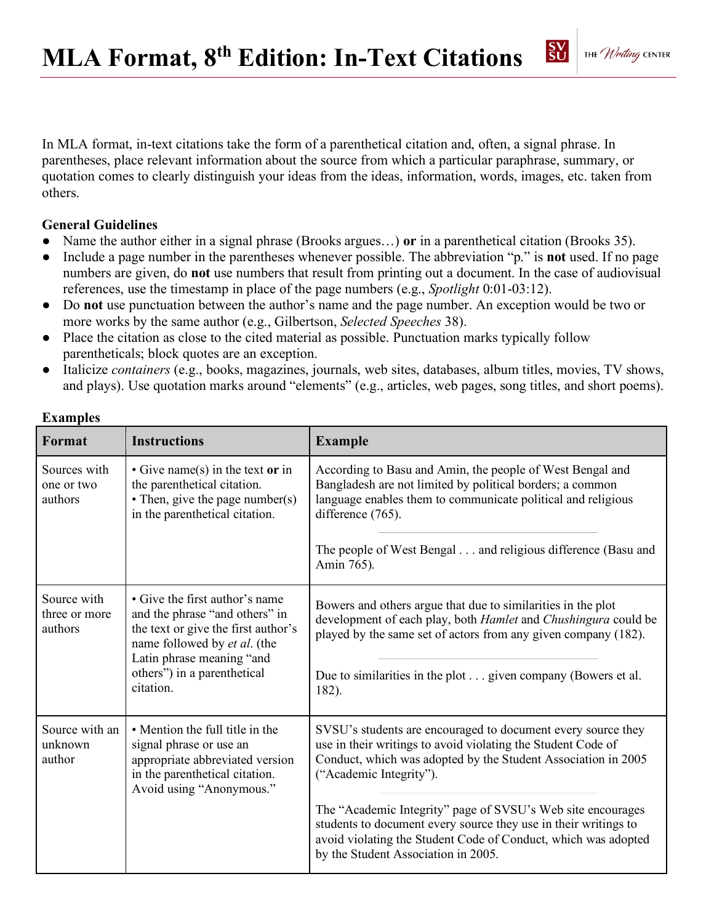

In MLA format, in-text citations take the form of a parenthetical citation and, often, a signal phrase. In parentheses, place relevant information about the source from which a particular paraphrase, summary, or quotation comes to clearly distinguish your ideas from the ideas, information, words, images, etc. taken from others.

## **General Guidelines**

- Name the author either in a signal phrase (Brooks argues…) **or** in a parenthetical citation (Brooks 35).
- Include a page number in the parentheses whenever possible. The abbreviation "p." is **not** used. If no page numbers are given, do **not** use numbers that result from printing out a document. In the case of audiovisual references, use the timestamp in place of the page numbers (e.g., *Spotlight* 0:01-03:12).
- Do **not** use punctuation between the author's name and the page number. An exception would be two or more works by the same author (e.g., Gilbertson, *Selected Speeches* 38).
- Place the citation as close to the cited material as possible. Punctuation marks typically follow parentheticals; block quotes are an exception.
- Italicize *containers* (e.g., books, magazines, journals, web sites, databases, album titles, movies, TV shows, and plays). Use quotation marks around "elements" (e.g., articles, web pages, song titles, and short poems).

| <b>Instructions</b>                                                                                                                                                                                              | <b>Example</b>                                                                                                                                                                                                                                                                                                                                                                                                                                                      |
|------------------------------------------------------------------------------------------------------------------------------------------------------------------------------------------------------------------|---------------------------------------------------------------------------------------------------------------------------------------------------------------------------------------------------------------------------------------------------------------------------------------------------------------------------------------------------------------------------------------------------------------------------------------------------------------------|
| $\bullet$ Give name(s) in the text or in<br>the parenthetical citation.<br>• Then, give the page number(s)<br>in the parenthetical citation.                                                                     | According to Basu and Amin, the people of West Bengal and<br>Bangladesh are not limited by political borders; a common<br>language enables them to communicate political and religious<br>difference (765).                                                                                                                                                                                                                                                         |
|                                                                                                                                                                                                                  | The people of West Bengal and religious difference (Basu and<br>Amin 765).                                                                                                                                                                                                                                                                                                                                                                                          |
| • Give the first author's name<br>and the phrase "and others" in<br>the text or give the first author's<br>name followed by et al. (the<br>Latin phrase meaning "and<br>others") in a parenthetical<br>citation. | Bowers and others argue that due to similarities in the plot<br>development of each play, both Hamlet and Chushingura could be<br>played by the same set of actors from any given company (182).<br>Due to similarities in the plot given company (Bowers et al.<br>182).                                                                                                                                                                                           |
| • Mention the full title in the<br>signal phrase or use an<br>appropriate abbreviated version<br>in the parenthetical citation.<br>Avoid using "Anonymous."                                                      | SVSU's students are encouraged to document every source they<br>use in their writings to avoid violating the Student Code of<br>Conduct, which was adopted by the Student Association in 2005<br>("Academic Integrity").<br>The "Academic Integrity" page of SVSU's Web site encourages<br>students to document every source they use in their writings to<br>avoid violating the Student Code of Conduct, which was adopted<br>by the Student Association in 2005. |
|                                                                                                                                                                                                                  |                                                                                                                                                                                                                                                                                                                                                                                                                                                                     |

## **Examples**